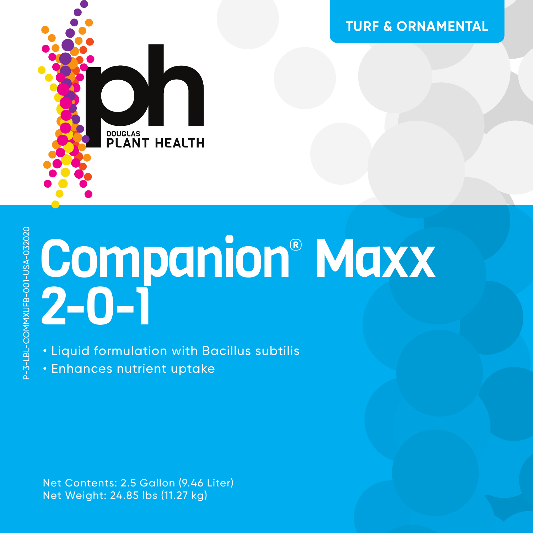

**TURF & ORNAMENTAL**

# P-3-LBL-COMMXUFB-001-USA-0320203-LBL-COMMXUFB-001-USA-03202

## Companion® Maxx 2-0-1

• Liquid formulation with Bacillus subtilis

• Enhances nutrient uptake

Net Contents: 2.5 Gallon (9.46 Liter) Net Weight: 24.85 lbs (11.27 kg)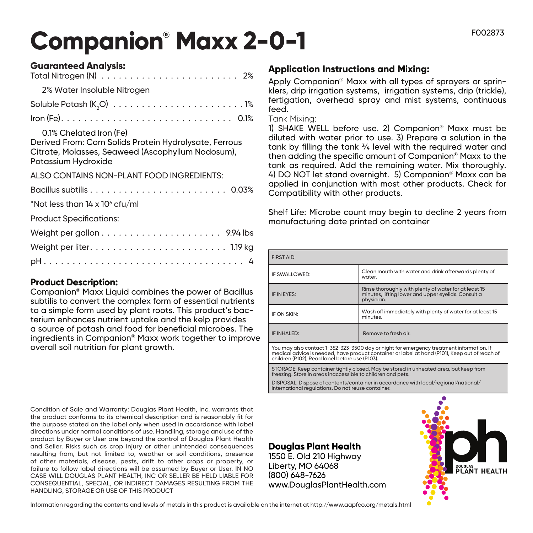### **Companion® Maxx 2-0-1** FOO2873

| <b>Guaranteed Analysis:</b>                                                                                                                                   |
|---------------------------------------------------------------------------------------------------------------------------------------------------------------|
|                                                                                                                                                               |
| 2% Water Insoluble Nitrogen                                                                                                                                   |
|                                                                                                                                                               |
|                                                                                                                                                               |
| 0.1% Chelated Iron (Fe)<br>Derived From: Corn Solids Protein Hydrolysate, Ferrous<br>Citrate, Molasses, Seaweed (Ascophyllum Nodosum),<br>Potassium Hydroxide |
| ALSO CONTAINS NON-PLANT FOOD INGREDIENTS:                                                                                                                     |
|                                                                                                                                                               |
| *Not less than 14 x 10 $\degree$ cfu/ml                                                                                                                       |
| <b>Product Specifications:</b>                                                                                                                                |
|                                                                                                                                                               |
|                                                                                                                                                               |
|                                                                                                                                                               |

#### **Product Description:**

Companion® Maxx Liquid combines the power of Bacillus subtilis to convert the complex form of essential nutrients to a simple form used by plant roots. This product's bacterium enhances nutrient uptake and the kelp provides a source of potash and food for beneficial microbes. The ingredients in Companion® Maxx work together to improve overall soil nutrition for plant growth.

Condition of Sale and Warranty: Douglas Plant Health, Inc. warrants that the product conforms to its chemical description and is reasonably fit for the purpose stated on the label only when used in accordance with label directions under normal conditions of use. Handling, storage and use of the product by Buyer or User are beyond the control of Douglas Plant Health and Seller. Risks such as crop injury or other unintended consequences resulting from, but not limited to, weather or soil conditions, presence of other materials, disease, pests, drift to other crops or property, or failure to follow label directions will be assumed by Buyer or User. IN NO CASE WILL DOUGLAS PLANT HEALTH, INC OR SELLER BE HELD LIABLE FOR CONSEQUENTIAL, SPECIAL, OR INDIRECT DAMAGES RESULTING FROM THE HANDLING, STORAGE OR USE OF THIS PRODUCT

#### **Application Instructions and Mixing:**

Apply Companion® Maxx with all types of sprayers or sprinklers, drip irrigation systems, irrigation systems, drip (trickle), fertigation, overhead spray and mist systems, continuous feed.

#### Tank Mixing:

1) SHAKE WELL before use. 2) Companion® Maxx must be diluted with water prior to use. 3) Prepare a solution in the tank by filling the tank ¾ level with the required water and then adding the specific amount of Companion® Maxx to the tank as required. Add the remaining water. Mix thoroughly. 4) DO NOT let stand overnight. 5) Companion® Maxx can be applied in conjunction with most other products. Check for Compatibility with other products.

Shelf Life: Microbe count may begin to decline 2 years from manufacturing date printed on container

| <b>FIRST AID</b>                                                                         |                                                                                                                            |  |
|------------------------------------------------------------------------------------------|----------------------------------------------------------------------------------------------------------------------------|--|
| IF SWALLOWED:                                                                            | Clean mouth with water and drink afterwards plenty of<br>water.                                                            |  |
| IF IN EYES:                                                                              | Rinse thoroughly with plenty of water for at least 15<br>minutes, lifting lower and upper eyelids. Consult a<br>physician. |  |
| IF ON SKIN:                                                                              | Wash off immediately with plenty of water for at least 15<br>minutes.                                                      |  |
| IF INHALED:                                                                              | Remove to fresh air.                                                                                                       |  |
| You may also contact 1-352-323-3500 day or night for emergency treatment information. If |                                                                                                                            |  |

You may also contact 1-352-323-3500 day or night for emergency treatment information. If<br>medical advice is needed, have product container or label at hand (P101), Keep out of reach of<br>children (P102), Read label before use

STORAGE: Keep container tightly closed. May be stored in unheated area, but keep from freezing. Store in areas inaccessible to children and pets.

DISPOSAL: Dispose of contents/container in accordance with local/regional/national/ international regulations. Do not reuse container.

#### **Douglas Plant Health**

1550 E. Old 210 Highway Liberty, MO 64068 (800) 648-7626 www.DouglasPlantHealth.com



Information regarding the contents and levels of metals in this product is available on the internet at http://www.aapfco.org/metals.html